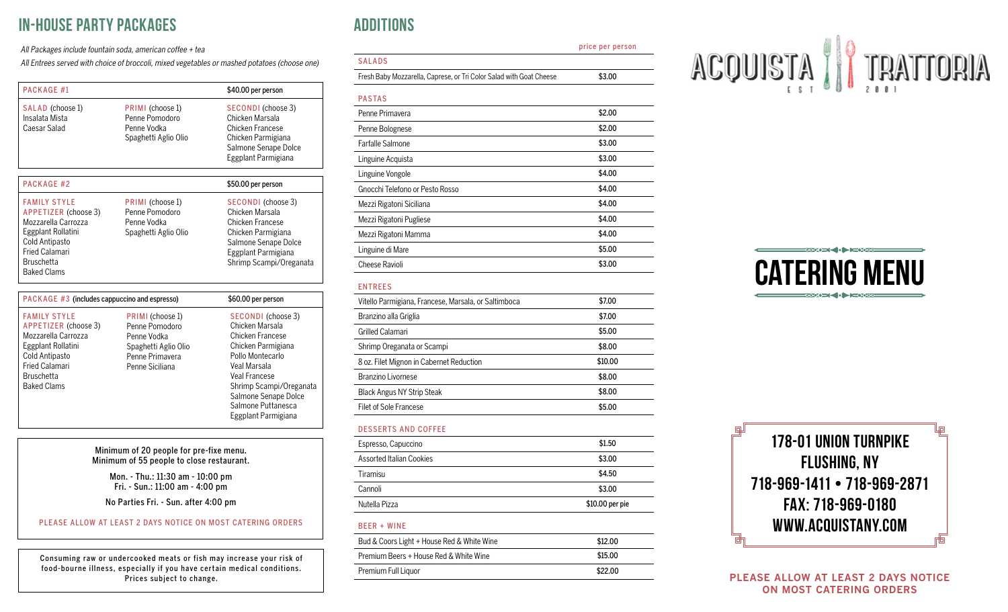# In-House Party Packages

All Packages include fountain soda, american coffee + tea

All Entrees served with choice of broccoli, mixed vegetables or mashed potatoes (choose one)

| PACKAGE #1                                                                                                                                                                     |                                                                                                                 | \$40.00 per person                                                                                                                                                                                                                   |  |  |
|--------------------------------------------------------------------------------------------------------------------------------------------------------------------------------|-----------------------------------------------------------------------------------------------------------------|--------------------------------------------------------------------------------------------------------------------------------------------------------------------------------------------------------------------------------------|--|--|
| SALAD (choose 1)<br>Insalata Mista<br>Caesar Salad                                                                                                                             | PRIMI (choose 1)<br>Penne Pomodoro<br>Penne Vodka<br>Spaghetti Aglio Olio                                       | SECONDI (choose 3)<br>Chicken Marsala<br>Chicken Francese<br>Chicken Parmigiana<br>Salmone Senape Dolce<br>Eggplant Parmigiana                                                                                                       |  |  |
| PACKAGE #2                                                                                                                                                                     |                                                                                                                 | \$50.00 per person                                                                                                                                                                                                                   |  |  |
| <b>FAMILY STYLE</b><br>APPETIZER (choose 3)<br>Mozzarella Carrozza<br>Eggplant Rollatini<br>Cold Antipasto<br><b>Fried Calamari</b><br><b>Bruschetta</b><br><b>Baked Clams</b> | PRIMI (choose 1)<br>Penne Pomodoro<br>Penne Vodka<br>Spaghetti Aglio Olio                                       | SECONDI (choose 3)<br>Chicken Marsala<br>Chicken Francese<br>Chicken Parmigiana<br>Salmone Senape Dolce<br>Eggplant Parmigiana<br>Shrimp Scampi/Oreganata                                                                            |  |  |
| PACKAGE #3 (includes cappuccino and espresso)                                                                                                                                  |                                                                                                                 | \$60.00 per person                                                                                                                                                                                                                   |  |  |
| <b>FAMILY STYLE</b><br>APPETIZER (choose 3)<br>Mozzarella Carrozza<br>Eggplant Rollatini<br>Cold Antipasto<br><b>Fried Calamari</b><br><b>Bruschetta</b><br><b>Baked Clams</b> | PRIMI (choose 1)<br>Penne Pomodoro<br>Penne Vodka<br>Spaghetti Aglio Olio<br>Penne Primavera<br>Penne Siciliana | SECONDI (choose 3)<br>Chicken Marsala<br>Chicken Francese<br>Chicken Parmigiana<br>Pollo Montecarlo<br>Veal Marsala<br>Veal Francese<br>Shrimp Scampi/Oreganata<br>Salmone Senape Dolce<br>Salmone Puttanesca<br>Eggplant Parmigiana |  |  |
| Minimum of 20 people for pre-fixe menu.<br>Minimum of 55 people to close restaurant.<br>Mon. - Thu.: 11:30 am - 10:00 pm<br>Fri. - Sun.: 11:00 am - 4:00 pm                    |                                                                                                                 |                                                                                                                                                                                                                                      |  |  |

No Parties Fri. - Sun. after 4:00 pm

#### PLEASE ALLOW AT LEAST 2 DAYS NOTICE ON MOST CATERING ORDERS

Consuming raw or undercooked meats or fish may increase your risk of food-bourne illness, especially if you have certain medical conditions. Prices subject to change.

## **ADDITIONS**

price per person

## SALADS

Fresh Baby Mozzarella, Caprese, or Tri Color Salad with Goat Cheese \$3.00

| <b>PASTAS</b>                   |        |
|---------------------------------|--------|
| Penne Primavera                 | \$2.00 |
| Penne Bolognese                 | \$2.00 |
| <b>Farfalle Salmone</b>         | \$3.00 |
| Linguine Acquista               | \$3.00 |
| Linguine Vongole                | \$4.00 |
| Gnocchi Telefono or Pesto Rosso | \$4.00 |
| Mezzi Rigatoni Siciliana        | \$4.00 |
| Mezzi Rigatoni Pugliese         | \$4.00 |
| Mezzi Rigatoni Mamma            | \$4.00 |
| Linguine di Mare                | \$5.00 |
| Cheese Ravioli                  | \$3.00 |

#### ENTREES

| Vitello Parmigiana, Francese, Marsala, or Saltimboca | \$7.00  |
|------------------------------------------------------|---------|
| Branzino alla Griglia                                | \$7.00  |
| Grilled Calamari                                     | \$5.00  |
| Shrimp Oreganata or Scampi                           | \$8.00  |
| 8 oz. Filet Mignon in Cabernet Reduction             | \$10.00 |
| Branzino Livornese                                   | \$8.00  |
| <b>Black Angus NY Strip Steak</b>                    | \$8.00  |
| Filet of Sole Francese                               | \$5.00  |
|                                                      |         |

#### DESSERTS AND COFFEE

| Espresso, Capuccino             | \$1.50          |
|---------------------------------|-----------------|
| <b>Assorted Italian Cookies</b> | \$3.00          |
| Tiramisu                        | \$4.50          |
| Cannoli                         | \$3.00          |
| Nutella Pizza                   | \$10.00 per pie |
|                                 |                 |

### BEER + WINE

| Bud & Coors Light + House Red & White Wine | \$12.00 |
|--------------------------------------------|---------|
| Premium Beers + House Red & White Wine     | \$15.00 |
| Premium Full Liguor                        | \$22.00 |
|                                            |         |